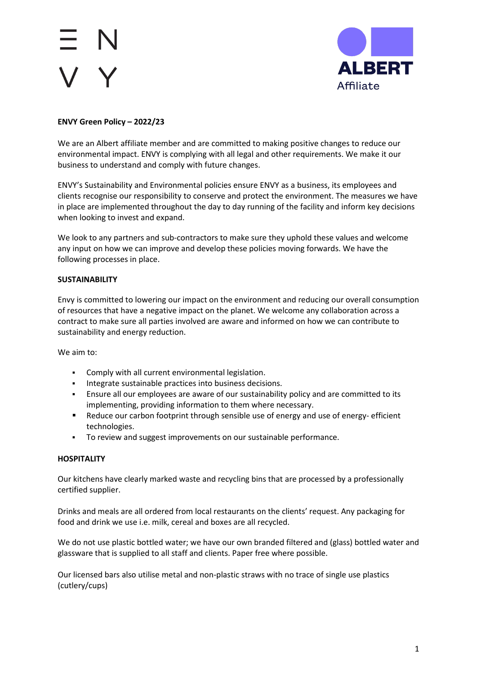

# **ENVY Green Policy – 2022/23**

We are an Albert affiliate member and are committed to making positive changes to reduce our environmental impact. ENVY is complying with all legal and other requirements. We make it our business to understand and comply with future changes.

ENVY's Sustainability and Environmental policies ensure ENVY as a business, its employees and clients recognise our responsibility to conserve and protect the environment. The measures we have in place are implemented throughout the day to day running of the facility and inform key decisions when looking to invest and expand.

We look to any partners and sub-contractors to make sure they uphold these values and welcome any input on how we can improve and develop these policies moving forwards. We have the following processes in place.

## **SUSTAINABILITY**

Envy is committed to lowering our impact on the environment and reducing our overall consumption of resources that have a negative impact on the planet. We welcome any collaboration across a contract to make sure all parties involved are aware and informed on how we can contribute to sustainability and energy reduction.

We aim to:

- Comply with all current environmental legislation.
- **Integrate sustainable practices into business decisions.**
- Ensure all our employees are aware of our sustainability policy and are committed to its implementing, providing information to them where necessary.
- **Reduce our carbon footprint through sensible use of energy and use of energy- efficient** technologies.
- To review and suggest improvements on our sustainable performance.

# **HOSPITALITY**

Our kitchens have clearly marked waste and recycling bins that are processed by a professionally certified supplier.

Drinks and meals are all ordered from local restaurants on the clients' request. Any packaging for food and drink we use i.e. milk, cereal and boxes are all recycled.

We do not use plastic bottled water; we have our own branded filtered and (glass) bottled water and glassware that is supplied to all staff and clients. Paper free where possible.

Our licensed bars also utilise metal and non-plastic straws with no trace of single use plastics (cutlery/cups)